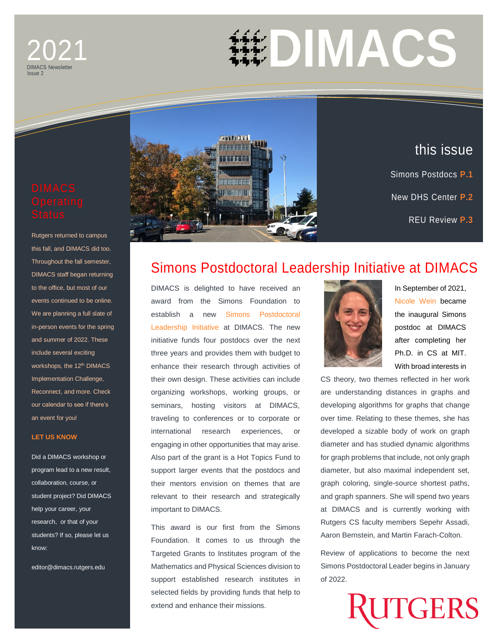## DIMACS Newsletter 2021 Issue 2



Rutgers returned to campus this fall, and DIMACS did too. Throughout the fall semester, DIMACS staff began returning to the office, but most of our events continued to be online. We are planning a full slate of in-person events for the spring and summer of 2022. These include several exciting workshops, the 12<sup>th</sup> DIMACS Implementation Challenge, Reconnect, and more. Check our calendar to see if there's an event for you!

## **[LET US KNOW](mailto:editor@dimacs.rutgers.edu)**

Did a DIMACS workshop or program lead to a new result, collaboration, course, or student project? Did DIMACS help your career, your research, or that of your students? If so, please let us know:

editor@dimacs.rutgers.edu



DIMACS is delighted to have received an award from the Simons Foundation to establish a new [Simons Postdoctoral](http://dimacs.rutgers.edu/news_archive/simonspostdoc)  [Leadership Initiative](http://dimacs.rutgers.edu/news_archive/simonspostdoc) at DIMACS. The new initiative funds four postdocs over the next three years and provides them with budget to enhance their research through activities of their own design. These activities can include organizing workshops, working groups, or seminars, hosting visitors at DIMACS, traveling to conferences or to corporate or international research experiences, or engaging in other opportunities that may arise. Also part of the grant is a Hot Topics Fund to support larger events that the postdocs and their mentors envision on themes that are relevant to their research and strategically important to DIMACS.

**THE REAL** 

**THE RE** 

This award is our first from the Simons Foundation. It comes to us through the Targeted Grants to Institutes program of the Mathematics and Physical Sciences division to support established research institutes in selected fields by providing funds that help to extend and enhance their missions.



In September of 2021, [Nicole Wein](http://people.csail.mit.edu/nwein/) became the inaugural Simons postdoc at DIMACS after completing her Ph.D. in CS at MIT. With broad interests in

this issue

Simons Postdocs **P.1**

New DHS Center **P.2**

Trends & New Software **P.4**

REU Review **P.3**

CS theory, two themes reflected in her work are understanding distances in graphs and developing algorithms for graphs that change over time. Relating to these themes, she has developed a sizable body of work on graph diameter and has studied dynamic algorithms for graph problems that include, not only graph diameter, but also maximal independent set, graph coloring, single-source shortest paths, and graph spanners. She will spend two years at DIMACS and is currently working with Rutgers CS faculty members Sepehr Assadi, Aaron Bernstein, and Martin Farach-Colton.

Review of applications to become the next Simons Postdoctoral Leader begins in January of 2022.

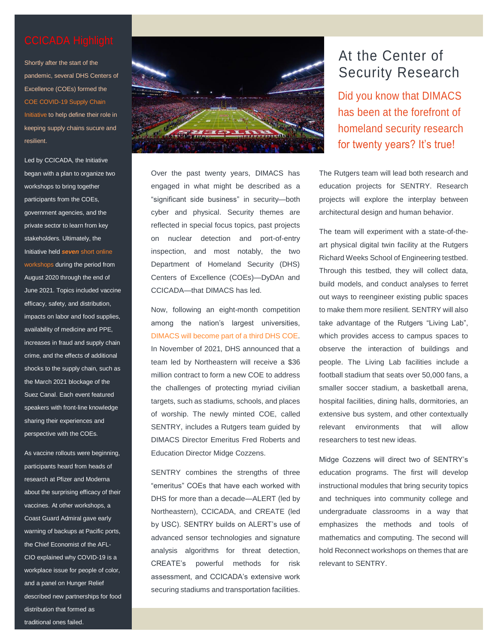Shortly after the start of the pandemic, several DHS Centers of Excellence (COEs) formed the [COE COVID-19 Supply Chain](https://ccicada.org/2020/08/14/the-dhs-centers-of-excellence-covid-19-supply-chain-initiative/)  [Initiative](https://ccicada.org/2020/08/14/the-dhs-centers-of-excellence-covid-19-supply-chain-initiative/) to help define their role in keeping supply chains sucure and resilient.

Led by CCICADA, the Initiative began with a plan to organize two workshops to bring together participants from the COEs, government agencies, and the private sector to learn from key stakeholders. Ultimately, the Initiative held *seven* [short online](http://dimacs.rutgers.edu/news_archive/coe-covid)  [workshops](http://dimacs.rutgers.edu/news_archive/coe-covid) during the period from August 2020 through the end of June 2021. Topics included vaccine efficacy, safety, and distribution, impacts on labor and food supplies, availability of medicine and PPE, increases in fraud and supply chain crime, and the effects of additional shocks to the supply chain, such as the March 2021 blockage of the Suez Canal. Each event featured speakers with front-line knowledge sharing their experiences and perspective with the COEs.

As vaccine rollouts were beginning, participants heard from heads of research at Pfizer and Moderna about the surprising efficacy of their vaccines. At other workshops, a Coast Guard Admiral gave early warning of backups at Pacific ports, the Chief Economist of the AFL-CIO explained why COVID-19 is a workplace issue for people of color, and a panel on Hunger Relief described new partnerships for food distribution that formed as traditional ones failed.



Over the past twenty years, DIMACS has engaged in what might be described as a "significant side business" in security—both cyber and physical. Security themes are reflected in special focus topics, past projects on nuclear detection and port-of-entry inspection, and most notably, the two Department of Homeland Security (DHS) Centers of Excellence (COEs)—DyDAn and CCICADA—that DIMACS has led.

Now, following an eight-month competition among the nation's largest universities, [DIMACS will become part of a third DHS COE.](http://dimacs.rutgers.edu/news_archive/sentry) In November of 2021, DHS announced that a team led by Northeastern will receive a \$36 million contract to form a new COE to address the challenges of protecting myriad civilian targets, such as stadiums, schools, and places of worship. The newly minted COE, called SENTRY, includes a Rutgers team guided by DIMACS Director Emeritus Fred Roberts and Education Director Midge Cozzens.

SENTRY combines the strengths of three "emeritus" COEs that have each worked with DHS for more than a decade—ALERT (led by Northeastern), CCICADA, and CREATE (led by USC). SENTRY builds on ALERT's use of advanced sensor technologies and signature analysis algorithms for threat detection, CREATE's powerful methods for risk assessment, and CCICADA's extensive work securing stadiums and transportation facilities.

# At the Center of Security Research

[Did](http://dimacs.rutgers.edu/news_archive/rcn-crypto) you know that DIMACS has been at the forefront of homeland security research for twenty years? It's true!

The Rutgers team will lead both research and education projects for SENTRY. Research projects will explore the interplay between architectural design and human behavior.

The team will experiment with a state-of-theart physical digital twin facility at the Rutgers Richard Weeks School of Engineering testbed. Through this testbed, they will collect data, build models, and conduct analyses to ferret out ways to reengineer existing public spaces to make them more resilient. SENTRY will also take advantage of the Rutgers "Living Lab", which provides access to campus spaces to observe the interaction of buildings and people. The Living Lab facilities include a football stadium that seats over 50,000 fans, a smaller soccer stadium, a basketball arena, hospital facilities, dining halls, dormitories, an extensive bus system, and other contextually relevant environments that will allow researchers to test new ideas.

Midge Cozzens will direct two of SENTRY's education programs. The first will develop instructional modules that bring security topics and techniques into community college and undergraduate classrooms in a way that emphasizes the methods and tools of mathematics and computing. The second will hold Reconnect workshops on themes that are relevant to SENTRY.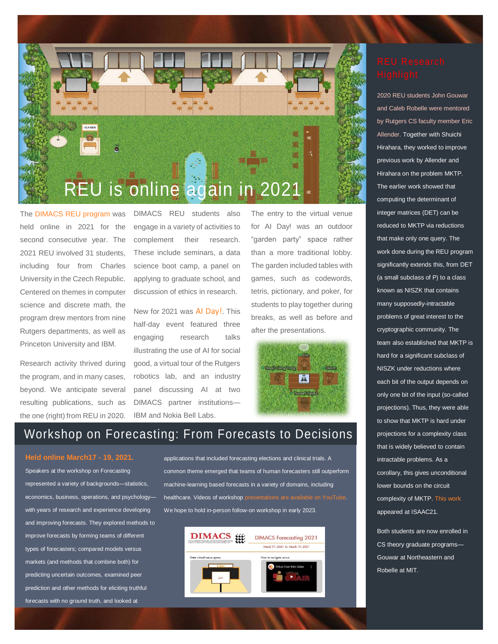

The [DIMACS REU program](http://reu.dimacs.rutgers.edu/) was held online in 2021 for the second consecutive year. The 2021 REU involved 31 students, including four from Charles University in the Czech Republic. Centered on themes in computer science and discrete math, the program drew mentors from nine Rutgers departments, as well as Princeton University and IBM.

Research activity thrived during the program, and in many cases, beyond. We anticipate several resulting publications, such as the one (right) from REU in 2020.

DIMACS REU students also engage in a variety of activities to complement their research. These include seminars, a data science boot camp, a panel on applying to graduate school, and discussion of ethics in research.

New for 2021 was [AI Day!](http://dimacs.rutgers.edu/events/details?eID=1677). This half-day event featured three engaging research talks illustrating the use of AI for social good, a virtual tour of the Rutgers robotics lab, and an industry panel discussing AI at two DIMACS partner institutions— IBM and Nokia Bell Labs.

The entry to the virtual venue for AI Day! was an outdoor "garden party" space rather than a more traditional lobby. The garden included tables with games, such as codewords, tetris, pictionary, and poker, for students to play together during breaks, as well as before and after the presentations.



# Workshop on Forecasting: From Forecasts to Decisions

### **[Held online March17 -](http://dimacs.rutgers.edu/events/details?eID=1531) 19, 2021.**

Speakers at the workshop on Forecasting represented a variety of backgrounds—statistics, economics, business, operations, and psychology with years of research and experience developing and improving forecasts. They explored methods to improve forecasts by forming teams of different types of forecasters; compared models versus markets (and methods that combine both) for predicting uncertain outcomes, examined peer prediction and other methods for eliciting truthful forecasts with no ground truth, and looked at

applications that included forecasting elections and clinical trials. A common theme emerged that teams of human forecasters still outperform machine-learning based forecasts in a variety of domains, including healthcare. Videos of worksho[p presentations are available on YouTube.](https://www.youtube.com/playlist?list=PLKVCRT3MRed49PWj8IF3WOAO8iYH2dCp3)  We hope to hold in-person follow-on workshop in early 2023.



2020 REU students John Gouwar and Caleb Robelle were mentored by Rutgers CS faculty member Eric Allender. Together with Shuichi Hirahara, they worked to improve previous work by Allender and Hirahara on the problem MKTP. The earlier work showed that computing the determinant of integer matrices (DET) can be reduced to MKTP via reductions that make only one query. The work done during the REU program significantly extends this, from DET (a small subclass of P) to a class known as NISZK that contains many supposedly-intractable problems of great interest to the cryptographic community. The team also established that MKTP is hard for a significant subclass of NISZK under reductions where each bit of the output depends on only one bit of the input (so-called projections). Thus, they were able to show that MKTP is hard under projections for a complexity class that is widely believed to contain intractable problems. As a corollary, this gives unconditional lower bounds on the circuit complexity of MKTP. [This work](https://eccc.weizmann.ac.il/report/2021/010/) appeared at ISAAC21.

Both students are now enrolled in CS theory graduate programs— Gouwar at Northeastern and Robelle at MIT.